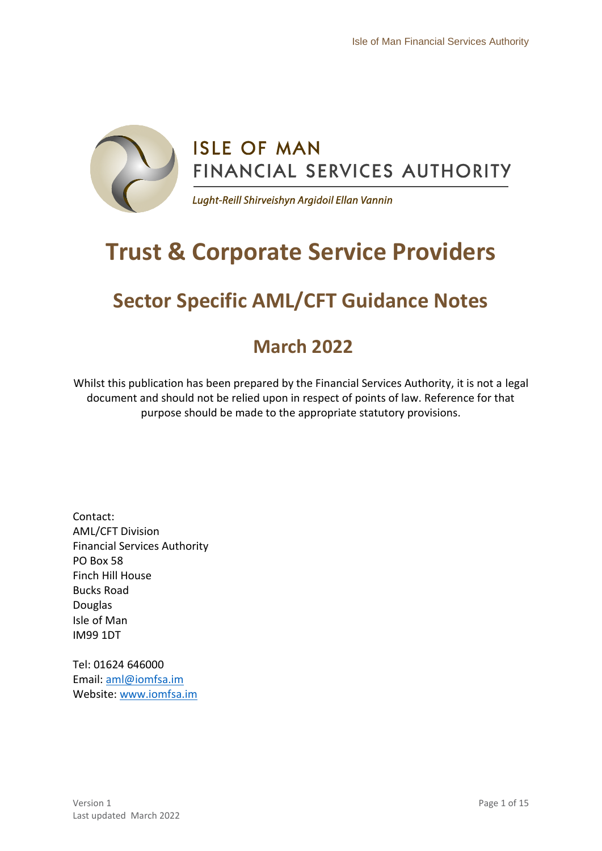

# **Trust & Corporate Service Providers**

## **Sector Specific AML/CFT Guidance Notes**

## **March 2022**

Whilst this publication has been prepared by the Financial Services Authority, it is not a legal document and should not be relied upon in respect of points of law. Reference for that purpose should be made to the appropriate statutory provisions.

Contact: AML/CFT Division Financial Services Authority PO Box 58 Finch Hill House Bucks Road Douglas Isle of Man IM99 1DT

Tel: 01624 646000 Email: [aml@iomfsa.im](mailto:aml@iomfsa.im) Website: [www.iomfsa.im](http://www.iomfsa.im/)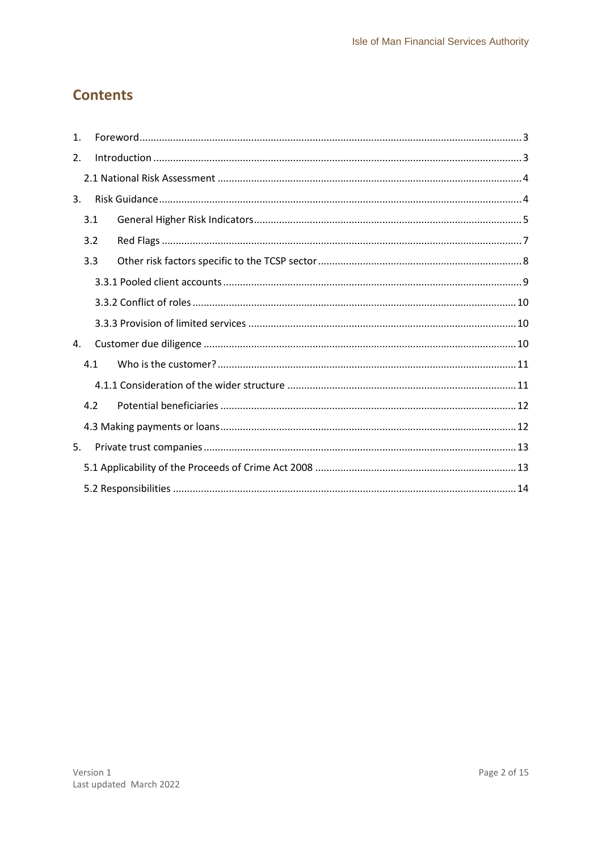## **Contents**

| $\mathbf{1}$ . |     |  |  |  |
|----------------|-----|--|--|--|
| 2.             |     |  |  |  |
|                |     |  |  |  |
| 3.             |     |  |  |  |
|                | 3.1 |  |  |  |
|                | 3.2 |  |  |  |
|                | 3.3 |  |  |  |
|                |     |  |  |  |
|                |     |  |  |  |
|                |     |  |  |  |
| 4.             |     |  |  |  |
|                | 4.1 |  |  |  |
|                |     |  |  |  |
|                | 4.2 |  |  |  |
|                |     |  |  |  |
| 5.             |     |  |  |  |
|                |     |  |  |  |
|                |     |  |  |  |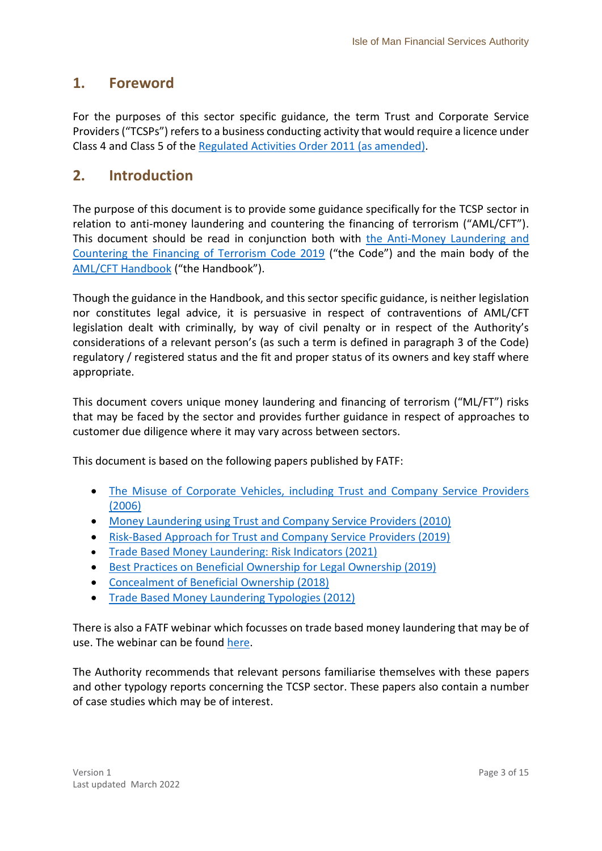## <span id="page-2-0"></span>**1. Foreword**

For the purposes of this sector specific guidance, the term Trust and Corporate Service Providers ("TCSPs") refers to a business conducting activity that would require a licence under Class 4 and Class 5 of the [Regulated Activities Order 2011 \(as amended\).](https://legislation.gov.im/cms/)

## <span id="page-2-1"></span>**2. Introduction**

The purpose of this document is to provide some guidance specifically for the TCSP sector in relation to anti-money laundering and countering the financing of terrorism ("AML/CFT"). This document should be read in conjunction both with [the Anti-Money Laundering and](https://www.iomfsa.im/amlcft/amlcft-requirements-and-guidance/)  [Countering the Financing of Terrorism Code 2019](https://www.iomfsa.im/amlcft/amlcft-requirements-and-guidance/) ("the Code") and the main body of the [AML/CFT Handbook](https://www.iomfsa.im/amlcft/amlcft-requirements-and-guidance/) ("the Handbook").

Though the guidance in the Handbook, and this sector specific guidance, is neither legislation nor constitutes legal advice, it is persuasive in respect of contraventions of AML/CFT legislation dealt with criminally, by way of civil penalty or in respect of the Authority's considerations of a relevant person's (as such a term is defined in paragraph 3 of the Code) regulatory / registered status and the fit and proper status of its owners and key staff where appropriate.

This document covers unique money laundering and financing of terrorism ("ML/FT") risks that may be faced by the sector and provides further guidance in respect of approaches to customer due diligence where it may vary across between sectors.

This document is based on the following papers published by FATF:

- The Misuse of Corporate Vehicles, including Trust and Company Service Providers [\(2006\)](http://www.fatf-gafi.org/media/fatf/documents/reports/Misuse%20of%20Corporate%20Vehicles%20including%20Trusts%20and%20Company%20Services%20Providers.pdf)
- [Money Laundering using Trust and Company Service Providers \(2010\)](http://www.fatf-gafi.org/media/fatf/documents/reports/Money%20Laundering%20Using%20Trust%20and%20Company%20Service%20Providers..pdf)
- [Risk-Based Approach for Trust and Company Service Providers \(2019\)](https://www.fatf-gafi.org/media/fatf/documents/reports/RBA-Trust-Company-Service-Providers.pdf)
- [Trade Based Money Laundering: Risk Indicators \(2021\)](http://www.fatf-gafi.org/media/fatf/content/images/Trade-Based-Money-Laundering-Risk-Indicators.pdf)
- [Best Practices on Beneficial Ownership for Legal Ownership \(2019\)](http://www.fatf-gafi.org/publications/methodsandtrends/documents/best-practices-beneficial-ownership-legal-persons.html)
- [Concealment of Beneficial Ownership \(2018\)](http://www.fatf-gafi.org/publications/methodsandtrends/documents/concealment-beneficial-ownership.html)
- [Trade Based Money Laundering Typologies \(2012\)](http://www.fatf-gafi.org/publications/methodsandtrends/documents/trade-basedmoneylaunderingtypologies.html)

There is also a FATF webinar which focusses on trade based money laundering that may be of use. The webinar can be found [here.](http://www.fatf-gafi.org/publications/methodsandtrends/documents/webinar-trade-based-money-laundering.html)

The Authority recommends that relevant persons familiarise themselves with these papers and other typology reports concerning the TCSP sector. These papers also contain a number of case studies which may be of interest.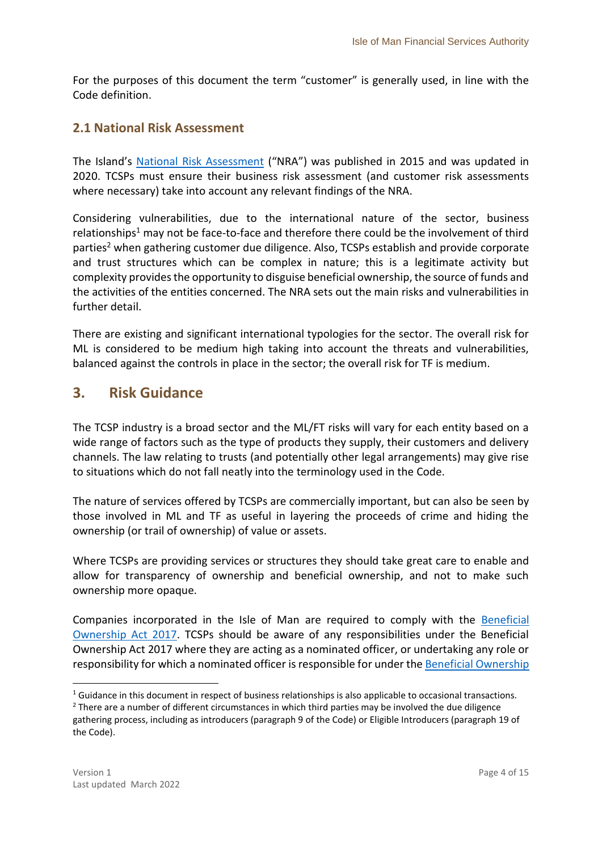For the purposes of this document the term "customer" is generally used, in line with the Code definition.

### <span id="page-3-0"></span>**2.1 National Risk Assessment**

The Island's [National Risk Assessment](https://www.gov.im/about-the-government/departments/cabinet-office/national-risk-assessment/) ("NRA") was published in 2015 and was updated in 2020. TCSPs must ensure their business risk assessment (and customer risk assessments where necessary) take into account any relevant findings of the NRA.

Considering vulnerabilities, due to the international nature of the sector, business relationships<sup>1</sup> may not be face-to-face and therefore there could be the involvement of third parties<sup>2</sup> when gathering customer due diligence. Also, TCSPs establish and provide corporate and trust structures which can be complex in nature; this is a legitimate activity but complexity provides the opportunity to disguise beneficial ownership, the source of funds and the activities of the entities concerned. The NRA sets out the main risks and vulnerabilities in further detail.

There are existing and significant international typologies for the sector. The overall risk for ML is considered to be medium high taking into account the threats and vulnerabilities, balanced against the controls in place in the sector; the overall risk for TF is medium.

## <span id="page-3-1"></span>**3. Risk Guidance**

The TCSP industry is a broad sector and the ML/FT risks will vary for each entity based on a wide range of factors such as the type of products they supply, their customers and delivery channels. The law relating to trusts (and potentially other legal arrangements) may give rise to situations which do not fall neatly into the terminology used in the Code.

The nature of services offered by TCSPs are commercially important, but can also be seen by those involved in ML and TF as useful in layering the proceeds of crime and hiding the ownership (or trail of ownership) of value or assets.

Where TCSPs are providing services or structures they should take great care to enable and allow for transparency of ownership and beneficial ownership, and not to make such ownership more opaque.

Companies incorporated in the Isle of Man are required to comply with the [Beneficial](https://legislation.gov.im/cms/)  [Ownership Act 2017.](https://legislation.gov.im/cms/) TCSPs should be aware of any responsibilities under the Beneficial Ownership Act 2017 where they are acting as a nominated officer, or undertaking any role or responsibility for which a nominated officer is responsible for under th[e Beneficial Ownership](https://legislation.gov.im/cms/)

1

 $1$  Guidance in this document in respect of business relationships is also applicable to occasional transactions.

<sup>&</sup>lt;sup>2</sup> There are a number of different circumstances in which third parties may be involved the due diligence gathering process, including as introducers (paragraph 9 of the Code) or Eligible Introducers (paragraph 19 of the Code).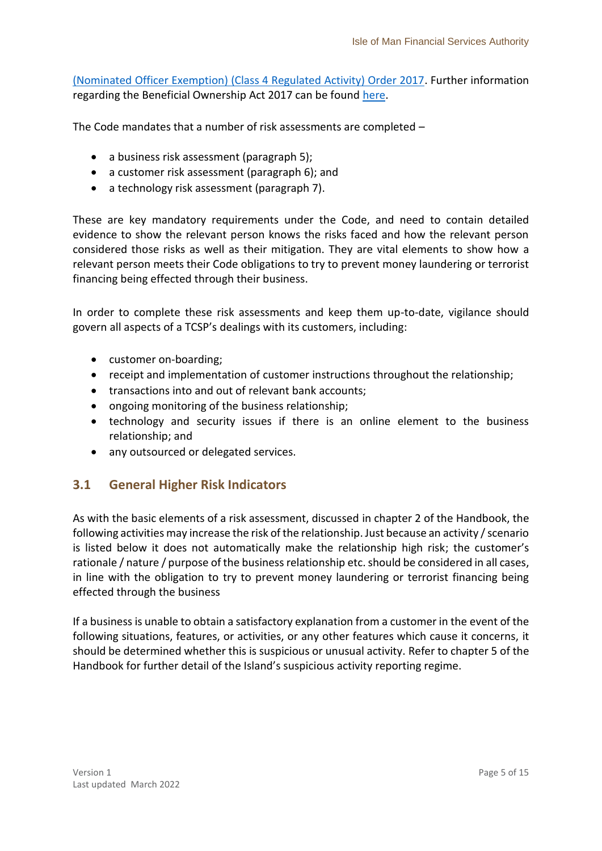[\(Nominated Officer Exemption\) \(Class 4 Regulated Activity\) Order 2017.](https://legislation.gov.im/cms/) Further information regarding the Beneficial Ownership Act 2017 can be found [here.](https://www.iomfsa.im/beneficial-ownership/overview/)

The Code mandates that a number of risk assessments are completed –

- a business risk assessment (paragraph 5);
- a customer risk assessment (paragraph 6); and
- a technology risk assessment (paragraph 7).

These are key mandatory requirements under the Code, and need to contain detailed evidence to show the relevant person knows the risks faced and how the relevant person considered those risks as well as their mitigation. They are vital elements to show how a relevant person meets their Code obligations to try to prevent money laundering or terrorist financing being effected through their business.

In order to complete these risk assessments and keep them up-to-date, vigilance should govern all aspects of a TCSP's dealings with its customers, including:

- customer on-boarding;
- receipt and implementation of customer instructions throughout the relationship;
- transactions into and out of relevant bank accounts;
- ongoing monitoring of the business relationship;
- technology and security issues if there is an online element to the business relationship; and
- any outsourced or delegated services.

## <span id="page-4-0"></span>**3.1 General Higher Risk Indicators**

As with the basic elements of a risk assessment, discussed in chapter 2 of the Handbook, the following activities may increase the risk of the relationship. Just because an activity / scenario is listed below it does not automatically make the relationship high risk; the customer's rationale / nature / purpose of the business relationship etc. should be considered in all cases, in line with the obligation to try to prevent money laundering or terrorist financing being effected through the business

If a business is unable to obtain a satisfactory explanation from a customer in the event of the following situations, features, or activities, or any other features which cause it concerns, it should be determined whether this is suspicious or unusual activity. Refer to chapter 5 of the Handbook for further detail of the Island's suspicious activity reporting regime.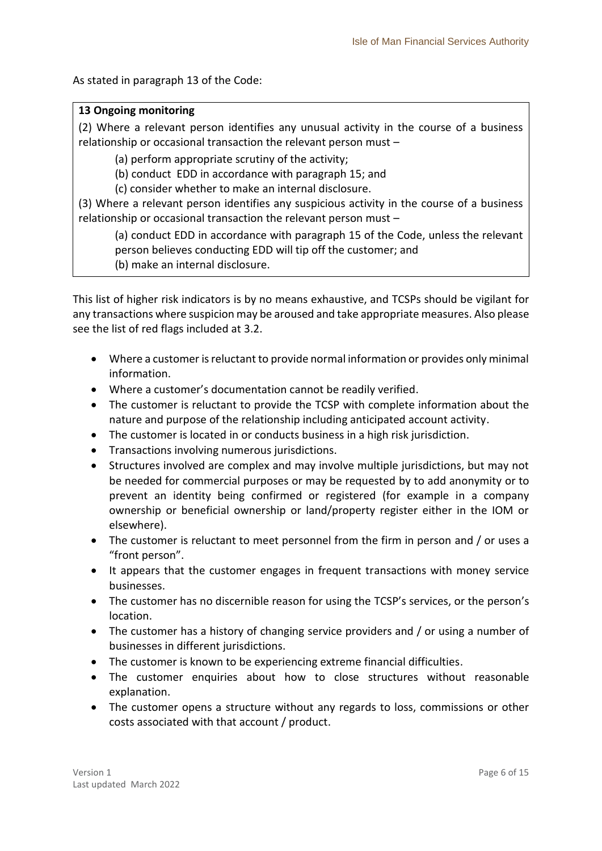As stated in paragraph 13 of the Code:

#### **13 Ongoing monitoring**

(2) Where a relevant person identifies any unusual activity in the course of a business relationship or occasional transaction the relevant person must –

(a) perform appropriate scrutiny of the activity;

(b) conduct EDD in accordance with paragraph 15; and

(c) consider whether to make an internal disclosure.

(3) Where a relevant person identifies any suspicious activity in the course of a business relationship or occasional transaction the relevant person must –

(a) conduct EDD in accordance with paragraph 15 of the Code, unless the relevant person believes conducting EDD will tip off the customer; and

(b) make an internal disclosure.

This list of higher risk indicators is by no means exhaustive, and TCSPs should be vigilant for any transactions where suspicion may be aroused and take appropriate measures. Also please see the list of red flags included at 3.2.

- Where a customer is reluctant to provide normal information or provides only minimal information.
- Where a customer's documentation cannot be readily verified.
- The customer is reluctant to provide the TCSP with complete information about the nature and purpose of the relationship including anticipated account activity.
- The customer is located in or conducts business in a high risk jurisdiction.
- Transactions involving numerous jurisdictions.
- Structures involved are complex and may involve multiple jurisdictions, but may not be needed for commercial purposes or may be requested by to add anonymity or to prevent an identity being confirmed or registered (for example in a company ownership or beneficial ownership or land/property register either in the IOM or elsewhere).
- The customer is reluctant to meet personnel from the firm in person and / or uses a "front person".
- It appears that the customer engages in frequent transactions with money service businesses.
- The customer has no discernible reason for using the TCSP's services, or the person's location.
- The customer has a history of changing service providers and / or using a number of businesses in different jurisdictions.
- The customer is known to be experiencing extreme financial difficulties.
- The customer enquiries about how to close structures without reasonable explanation.
- The customer opens a structure without any regards to loss, commissions or other costs associated with that account / product.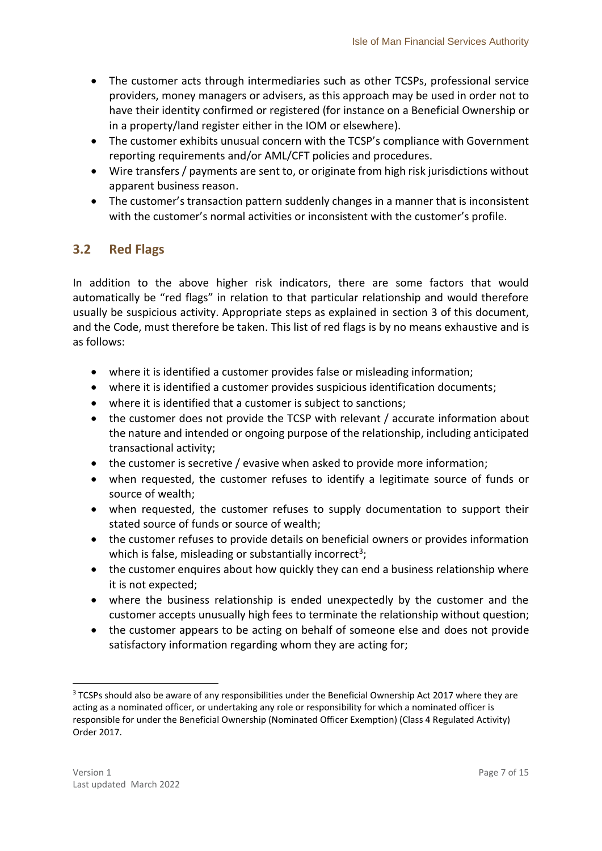- The customer acts through intermediaries such as other TCSPs, professional service providers, money managers or advisers, as this approach may be used in order not to have their identity confirmed or registered (for instance on a Beneficial Ownership or in a property/land register either in the IOM or elsewhere).
- The customer exhibits unusual concern with the TCSP's compliance with Government reporting requirements and/or AML/CFT policies and procedures.
- Wire transfers / payments are sent to, or originate from high risk jurisdictions without apparent business reason.
- The customer's transaction pattern suddenly changes in a manner that is inconsistent with the customer's normal activities or inconsistent with the customer's profile.

## <span id="page-6-0"></span>**3.2 Red Flags**

In addition to the above higher risk indicators, there are some factors that would automatically be "red flags" in relation to that particular relationship and would therefore usually be suspicious activity. Appropriate steps as explained in section 3 of this document, and the Code, must therefore be taken. This list of red flags is by no means exhaustive and is as follows:

- where it is identified a customer provides false or misleading information;
- where it is identified a customer provides suspicious identification documents;
- where it is identified that a customer is subject to sanctions;
- the customer does not provide the TCSP with relevant / accurate information about the nature and intended or ongoing purpose of the relationship, including anticipated transactional activity;
- the customer is secretive / evasive when asked to provide more information;
- when requested, the customer refuses to identify a legitimate source of funds or source of wealth;
- when requested, the customer refuses to supply documentation to support their stated source of funds or source of wealth;
- the customer refuses to provide details on beneficial owners or provides information which is false, misleading or substantially incorrect<sup>3</sup>;
- the customer enquires about how quickly they can end a business relationship where it is not expected;
- where the business relationship is ended unexpectedly by the customer and the customer accepts unusually high fees to terminate the relationship without question;
- the customer appears to be acting on behalf of someone else and does not provide satisfactory information regarding whom they are acting for;

1

<sup>&</sup>lt;sup>3</sup> TCSPs should also be aware of any responsibilities under the Beneficial Ownership Act 2017 where they are acting as a nominated officer, or undertaking any role or responsibility for which a nominated officer is responsible for under the Beneficial Ownership (Nominated Officer Exemption) (Class 4 Regulated Activity) Order 2017.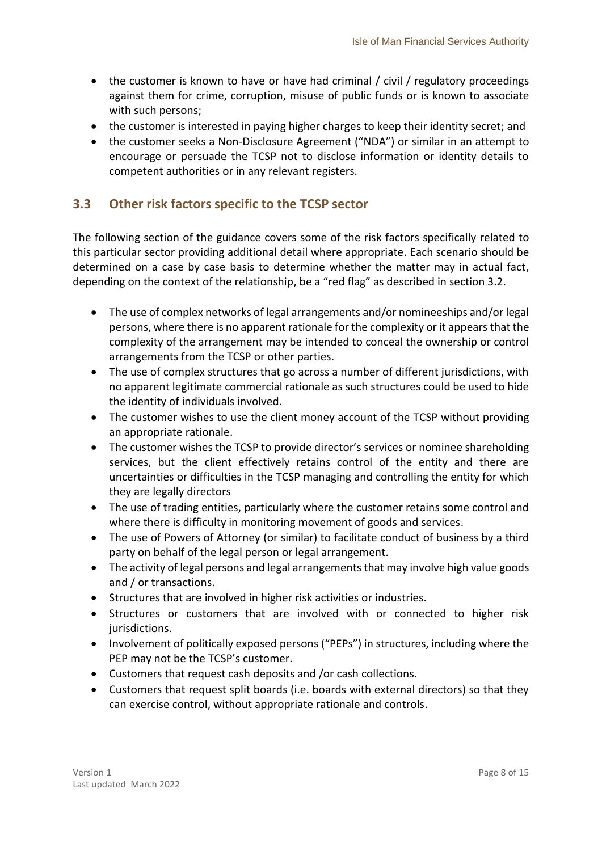- the customer is known to have or have had criminal / civil / regulatory proceedings against them for crime, corruption, misuse of public funds or is known to associate with such persons;
- the customer is interested in paying higher charges to keep their identity secret; and
- the customer seeks a Non-Disclosure Agreement ("NDA") or similar in an attempt to encourage or persuade the TCSP not to disclose information or identity details to competent authorities or in any relevant registers.

### <span id="page-7-0"></span>**3.3 Other risk factors specific to the TCSP sector**

The following section of the guidance covers some of the risk factors specifically related to this particular sector providing additional detail where appropriate. Each scenario should be determined on a case by case basis to determine whether the matter may in actual fact, depending on the context of the relationship, be a "red flag" as described in section 3.2.

- The use of complex networks of legal arrangements and/or nomineeships and/or legal persons, where there is no apparent rationale for the complexity or it appears that the complexity of the arrangement may be intended to conceal the ownership or control arrangements from the TCSP or other parties.
- The use of complex structures that go across a number of different jurisdictions, with no apparent legitimate commercial rationale as such structures could be used to hide the identity of individuals involved.
- The customer wishes to use the client money account of the TCSP without providing an appropriate rationale.
- The customer wishes the TCSP to provide director's services or nominee shareholding services, but the client effectively retains control of the entity and there are uncertainties or difficulties in the TCSP managing and controlling the entity for which they are legally directors
- The use of trading entities, particularly where the customer retains some control and where there is difficulty in monitoring movement of goods and services.
- The use of Powers of Attorney (or similar) to facilitate conduct of business by a third party on behalf of the legal person or legal arrangement.
- The activity of legal persons and legal arrangements that may involve high value goods and / or transactions.
- Structures that are involved in higher risk activities or industries.
- Structures or customers that are involved with or connected to higher risk jurisdictions.
- Involvement of politically exposed persons ("PEPs") in structures, including where the PEP may not be the TCSP's customer.
- Customers that request cash deposits and /or cash collections.
- Customers that request split boards (i.e. boards with external directors) so that they can exercise control, without appropriate rationale and controls.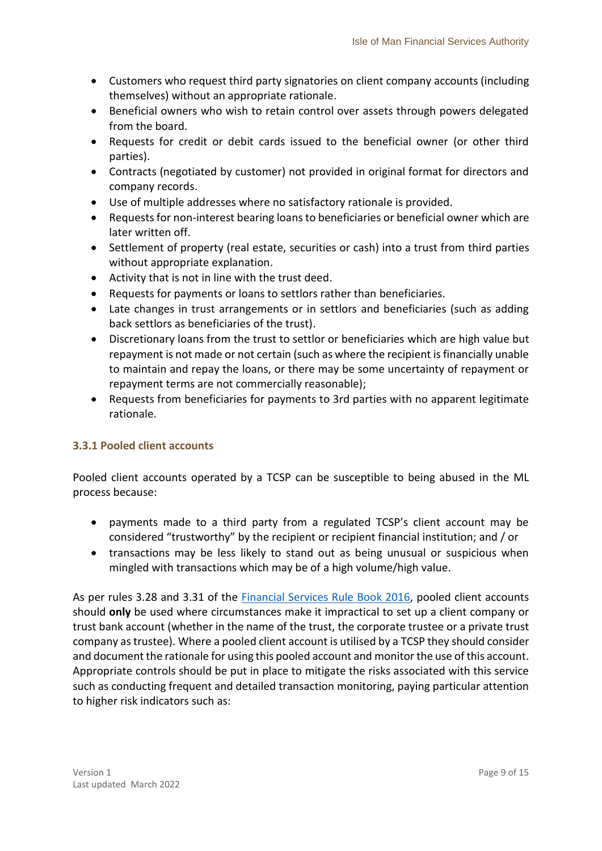- Customers who request third party signatories on client company accounts (including themselves) without an appropriate rationale.
- Beneficial owners who wish to retain control over assets through powers delegated from the board.
- Requests for credit or debit cards issued to the beneficial owner (or other third parties).
- Contracts (negotiated by customer) not provided in original format for directors and company records.
- Use of multiple addresses where no satisfactory rationale is provided.
- Requests for non-interest bearing loans to beneficiaries or beneficial owner which are later written off.
- Settlement of property (real estate, securities or cash) into a trust from third parties without appropriate explanation.
- Activity that is not in line with the trust deed.
- Requests for payments or loans to settlors rather than beneficiaries.
- Late changes in trust arrangements or in settlors and beneficiaries (such as adding back settlors as beneficiaries of the trust).
- Discretionary loans from the trust to settlor or beneficiaries which are high value but repayment is not made or not certain (such as where the recipient is financially unable to maintain and repay the loans, or there may be some uncertainty of repayment or repayment terms are not commercially reasonable);
- Requests from beneficiaries for payments to 3rd parties with no apparent legitimate rationale.

#### <span id="page-8-0"></span>**3.3.1 Pooled client accounts**

Pooled client accounts operated by a TCSP can be susceptible to being abused in the ML process because:

- payments made to a third party from a regulated TCSP's client account may be considered "trustworthy" by the recipient or recipient financial institution; and / or
- transactions may be less likely to stand out as being unusual or suspicious when mingled with transactions which may be of a high volume/high value.

As per rules 3.28 and 3.31 of the [Financial Services Rule Book 2016,](https://www.tynwald.org.im/links/tls/SD/Pages/default.aspx?&s=SD&k=financial%20services%20rulebook&r=) pooled client accounts should **only** be used where circumstances make it impractical to set up a client company or trust bank account (whether in the name of the trust, the corporate trustee or a private trust company as trustee). Where a pooled client account is utilised by a TCSP they should consider and document the rationale for using this pooled account and monitor the use of this account. Appropriate controls should be put in place to mitigate the risks associated with this service such as conducting frequent and detailed transaction monitoring, paying particular attention to higher risk indicators such as: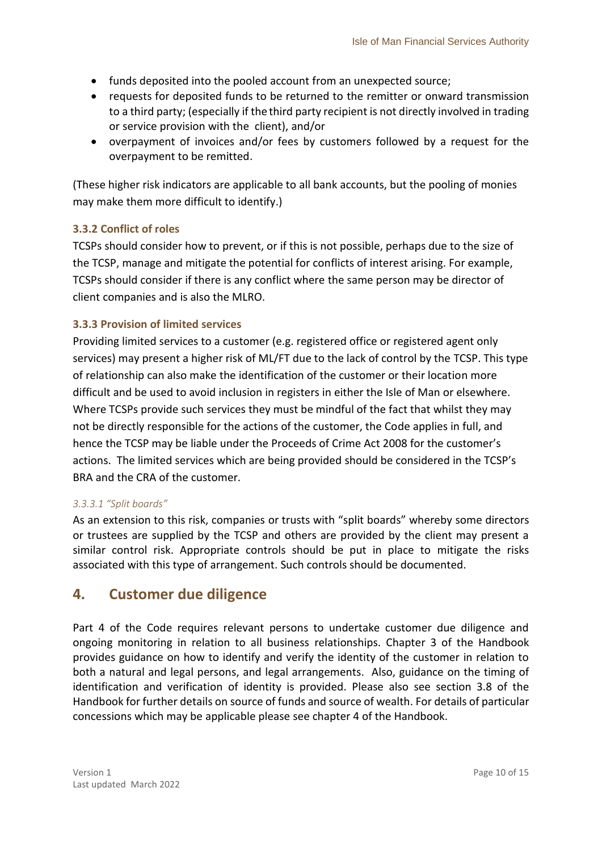- funds deposited into the pooled account from an unexpected source;
- requests for deposited funds to be returned to the remitter or onward transmission to a third party; (especially if the third party recipient is not directly involved in trading or service provision with the client), and/or
- overpayment of invoices and/or fees by customers followed by a request for the overpayment to be remitted.

(These higher risk indicators are applicable to all bank accounts, but the pooling of monies may make them more difficult to identify.)

#### <span id="page-9-0"></span>**3.3.2 Conflict of roles**

TCSPs should consider how to prevent, or if this is not possible, perhaps due to the size of the TCSP, manage and mitigate the potential for conflicts of interest arising. For example, TCSPs should consider if there is any conflict where the same person may be director of client companies and is also the MLRO.

#### <span id="page-9-1"></span>**3.3.3 Provision of limited services**

Providing limited services to a customer (e.g. registered office or registered agent only services) may present a higher risk of ML/FT due to the lack of control by the TCSP. This type of relationship can also make the identification of the customer or their location more difficult and be used to avoid inclusion in registers in either the Isle of Man or elsewhere. Where TCSPs provide such services they must be mindful of the fact that whilst they may not be directly responsible for the actions of the customer, the Code applies in full, and hence the TCSP may be liable under the Proceeds of Crime Act 2008 for the customer's actions. The limited services which are being provided should be considered in the TCSP's BRA and the CRA of the customer.

#### *3.3.3.1 "Split boards"*

As an extension to this risk, companies or trusts with "split boards" whereby some directors or trustees are supplied by the TCSP and others are provided by the client may present a similar control risk. Appropriate controls should be put in place to mitigate the risks associated with this type of arrangement. Such controls should be documented.

## <span id="page-9-2"></span>**4. Customer due diligence**

Part 4 of the Code requires relevant persons to undertake customer due diligence and ongoing monitoring in relation to all business relationships. Chapter 3 of the Handbook provides guidance on how to identify and verify the identity of the customer in relation to both a natural and legal persons, and legal arrangements. Also, guidance on the timing of identification and verification of identity is provided. Please also see section 3.8 of the Handbook for further details on source of funds and source of wealth. For details of particular concessions which may be applicable please see chapter 4 of the Handbook.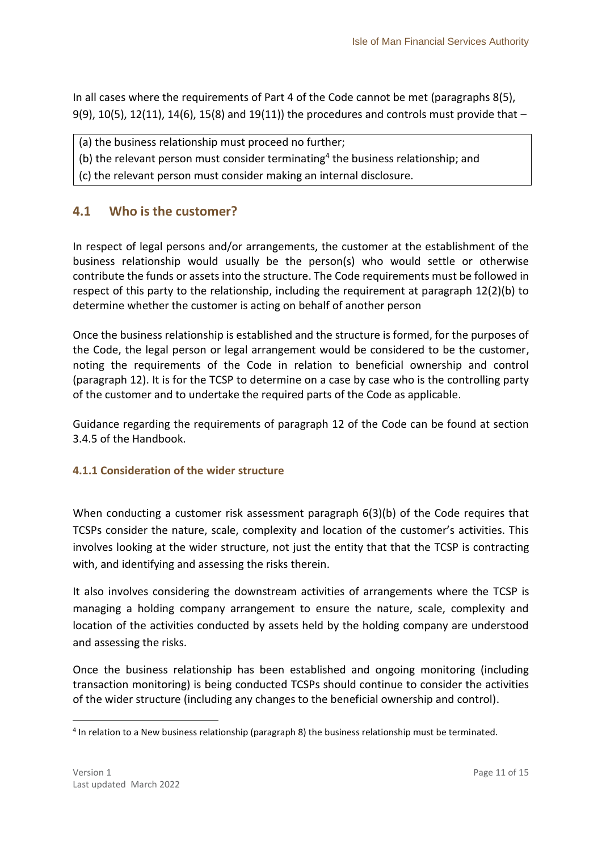In all cases where the requirements of Part 4 of the Code cannot be met (paragraphs 8(5), 9(9), 10(5), 12(11), 14(6), 15(8) and 19(11)) the procedures and controls must provide that  $-$ 

- (a) the business relationship must proceed no further;
- (b) the relevant person must consider terminating<sup>4</sup> the business relationship; and
- (c) the relevant person must consider making an internal disclosure.

#### <span id="page-10-0"></span>**4.1 Who is the customer?**

In respect of legal persons and/or arrangements, the customer at the establishment of the business relationship would usually be the person(s) who would settle or otherwise contribute the funds or assets into the structure. The Code requirements must be followed in respect of this party to the relationship, including the requirement at paragraph 12(2)(b) to determine whether the customer is acting on behalf of another person

Once the business relationship is established and the structure is formed, for the purposes of the Code, the legal person or legal arrangement would be considered to be the customer, noting the requirements of the Code in relation to beneficial ownership and control (paragraph 12). It is for the TCSP to determine on a case by case who is the controlling party of the customer and to undertake the required parts of the Code as applicable.

Guidance regarding the requirements of paragraph 12 of the Code can be found at section 3.4.5 of the Handbook.

#### <span id="page-10-1"></span>**4.1.1 Consideration of the wider structure**

When conducting a customer risk assessment paragraph 6(3)(b) of the Code requires that TCSPs consider the nature, scale, complexity and location of the customer's activities. This involves looking at the wider structure, not just the entity that that the TCSP is contracting with, and identifying and assessing the risks therein.

It also involves considering the downstream activities of arrangements where the TCSP is managing a holding company arrangement to ensure the nature, scale, complexity and location of the activities conducted by assets held by the holding company are understood and assessing the risks.

Once the business relationship has been established and ongoing monitoring (including transaction monitoring) is being conducted TCSPs should continue to consider the activities of the wider structure (including any changes to the beneficial ownership and control).

**.** 

<sup>&</sup>lt;sup>4</sup> In relation to a New business relationship (paragraph 8) the business relationship must be terminated.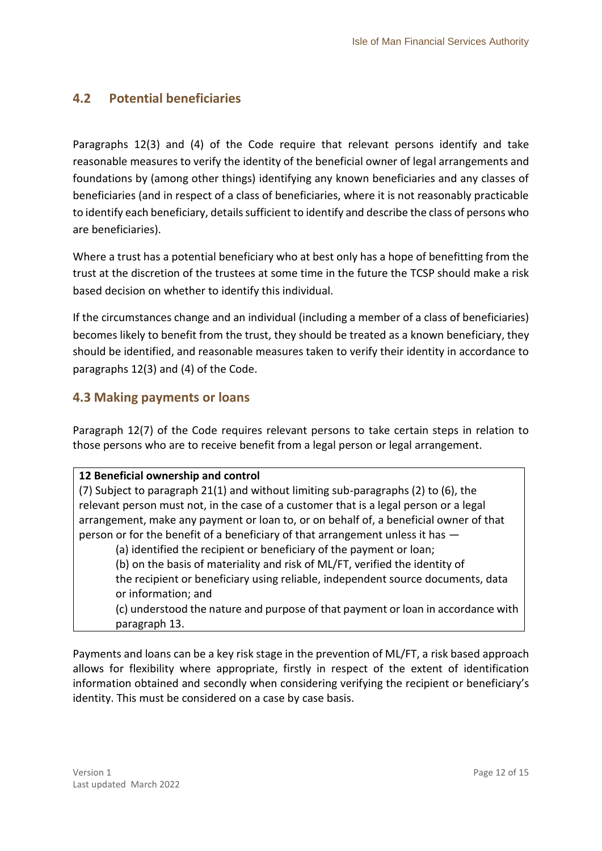## <span id="page-11-0"></span>**4.2 Potential beneficiaries**

Paragraphs 12(3) and (4) of the Code require that relevant persons identify and take reasonable measures to verify the identity of the beneficial owner of legal arrangements and foundations by (among other things) identifying any known beneficiaries and any classes of beneficiaries (and in respect of a class of beneficiaries, where it is not reasonably practicable to identify each beneficiary, details sufficient to identify and describe the class of persons who are beneficiaries).

Where a trust has a potential beneficiary who at best only has a hope of benefitting from the trust at the discretion of the trustees at some time in the future the TCSP should make a risk based decision on whether to identify this individual.

If the circumstances change and an individual (including a member of a class of beneficiaries) becomes likely to benefit from the trust, they should be treated as a known beneficiary, they should be identified, and reasonable measures taken to verify their identity in accordance to paragraphs 12(3) and (4) of the Code.

## <span id="page-11-1"></span>**4.3 Making payments or loans**

Paragraph 12(7) of the Code requires relevant persons to take certain steps in relation to those persons who are to receive benefit from a legal person or legal arrangement.

#### **12 Beneficial ownership and control**

(7) Subject to paragraph 21(1) and without limiting sub-paragraphs (2) to (6), the relevant person must not, in the case of a customer that is a legal person or a legal arrangement, make any payment or loan to, or on behalf of, a beneficial owner of that person or for the benefit of a beneficiary of that arrangement unless it has —

(a) identified the recipient or beneficiary of the payment or loan;

(b) on the basis of materiality and risk of ML/FT, verified the identity of

the recipient or beneficiary using reliable, independent source documents, data or information; and

(c) understood the nature and purpose of that payment or loan in accordance with paragraph 13.

Payments and loans can be a key risk stage in the prevention of ML/FT, a risk based approach allows for flexibility where appropriate, firstly in respect of the extent of identification information obtained and secondly when considering verifying the recipient or beneficiary's identity. This must be considered on a case by case basis.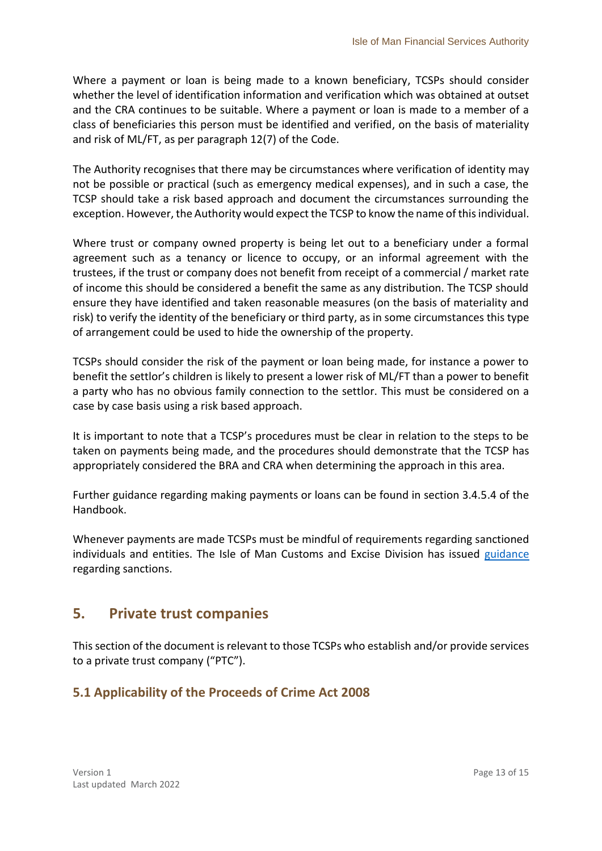Where a payment or loan is being made to a known beneficiary, TCSPs should consider whether the level of identification information and verification which was obtained at outset and the CRA continues to be suitable. Where a payment or loan is made to a member of a class of beneficiaries this person must be identified and verified, on the basis of materiality and risk of ML/FT, as per paragraph 12(7) of the Code.

The Authority recognises that there may be circumstances where verification of identity may not be possible or practical (such as emergency medical expenses), and in such a case, the TCSP should take a risk based approach and document the circumstances surrounding the exception. However, the Authority would expect the TCSP to know the name of this individual.

Where trust or company owned property is being let out to a beneficiary under a formal agreement such as a tenancy or licence to occupy, or an informal agreement with the trustees, if the trust or company does not benefit from receipt of a commercial / market rate of income this should be considered a benefit the same as any distribution. The TCSP should ensure they have identified and taken reasonable measures (on the basis of materiality and risk) to verify the identity of the beneficiary or third party, as in some circumstances this type of arrangement could be used to hide the ownership of the property.

TCSPs should consider the risk of the payment or loan being made, for instance a power to benefit the settlor's children is likely to present a lower risk of ML/FT than a power to benefit a party who has no obvious family connection to the settlor. This must be considered on a case by case basis using a risk based approach.

It is important to note that a TCSP's procedures must be clear in relation to the steps to be taken on payments being made, and the procedures should demonstrate that the TCSP has appropriately considered the BRA and CRA when determining the approach in this area.

Further guidance regarding making payments or loans can be found in section 3.4.5.4 of the Handbook.

Whenever payments are made TCSPs must be mindful of requirements regarding sanctioned individuals and entities. The Isle of Man Customs and Excise Division has issued [guidance](https://www.gov.im/categories/tax-vat-and-your-money/customs-and-excise/sanctions-and-export-control/#accordion) regarding sanctions.

## <span id="page-12-0"></span>**5. Private trust companies**

This section of the document is relevant to those TCSPs who establish and/or provide services to a private trust company ("PTC").

## <span id="page-12-1"></span>**5.1 Applicability of the Proceeds of Crime Act 2008**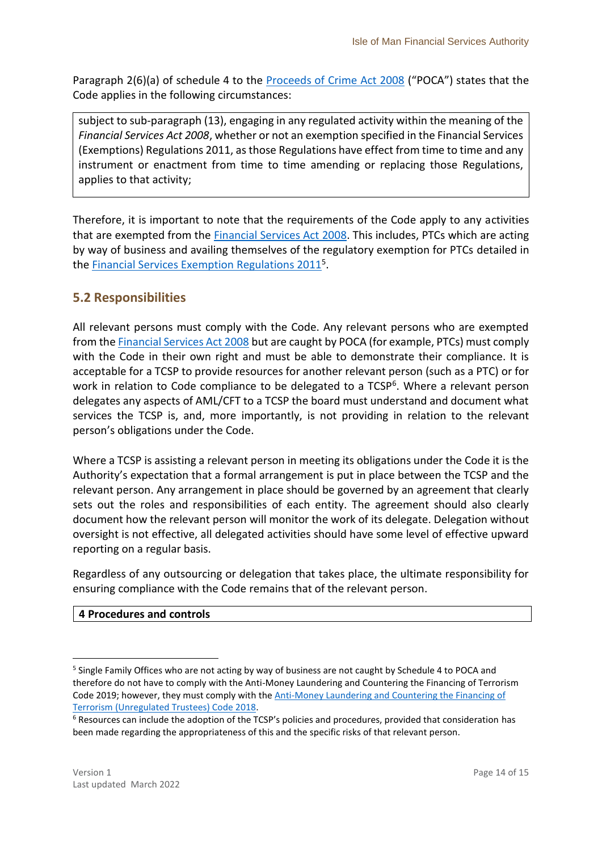Paragraph 2(6)(a) of schedule 4 to the [Proceeds of Crime Act 2008](https://legislation.gov.im/cms/) ("POCA") states that the Code applies in the following circumstances:

subject to sub-paragraph (13), engaging in any regulated activity within the meaning of the *Financial Services Act 2008*, whether or not an exemption specified in the Financial Services (Exemptions) Regulations 2011, as those Regulations have effect from time to time and any instrument or enactment from time to time amending or replacing those Regulations, applies to that activity;

Therefore, it is important to note that the requirements of the Code apply to any activities that are exempted from the [Financial Services Act 2008.](https://legislation.gov.im/cms/) This includes, PTCs which are acting by way of business and availing themselves of the regulatory exemption for PTCs detailed in the **Financial Services Exemption Regulations 2011**<sup>5</sup>.

## <span id="page-13-0"></span>**5.2 Responsibilities**

All relevant persons must comply with the Code. Any relevant persons who are exempted from th[e Financial Services Act 2008](https://legislation.gov.im/cms/) but are caught by POCA (for example, PTCs) must comply with the Code in their own right and must be able to demonstrate their compliance. It is acceptable for a TCSP to provide resources for another relevant person (such as a PTC) or for work in relation to Code compliance to be delegated to a TCSP<sup>6</sup>. Where a relevant person delegates any aspects of AML/CFT to a TCSP the board must understand and document what services the TCSP is, and, more importantly, is not providing in relation to the relevant person's obligations under the Code.

Where a TCSP is assisting a relevant person in meeting its obligations under the Code it is the Authority's expectation that a formal arrangement is put in place between the TCSP and the relevant person. Any arrangement in place should be governed by an agreement that clearly sets out the roles and responsibilities of each entity. The agreement should also clearly document how the relevant person will monitor the work of its delegate. Delegation without oversight is not effective, all delegated activities should have some level of effective upward reporting on a regular basis.

Regardless of any outsourcing or delegation that takes place, the ultimate responsibility for ensuring compliance with the Code remains that of the relevant person.

#### **4 Procedures and controls**

**.** 

<sup>&</sup>lt;sup>5</sup> Single Family Offices who are not acting by way of business are not caught by Schedule 4 to POCA and therefore do not have to comply with the Anti-Money Laundering and Countering the Financing of Terrorism Code 2019; however, they must comply with the [Anti-Money Laundering and Countering the Financing of](https://legislation.gov.im/cms/)  [Terrorism \(Unregulated Trustees\) Code 2018.](https://legislation.gov.im/cms/)

<sup>6</sup> Resources can include the adoption of the TCSP's policies and procedures, provided that consideration has been made regarding the appropriateness of this and the specific risks of that relevant person.